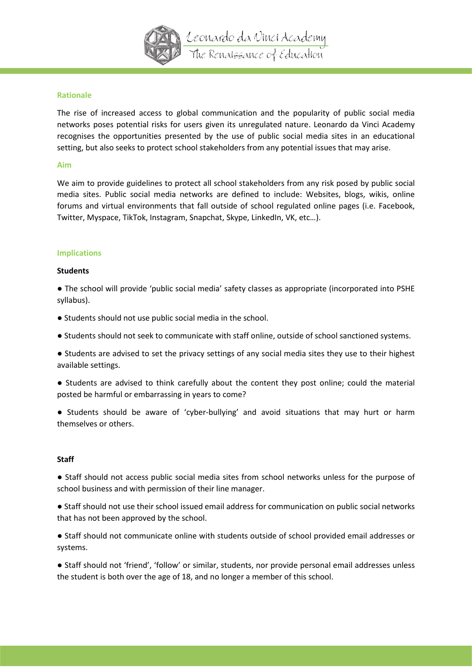

## **Rationale**

The rise of increased access to global communication and the popularity of public social media networks poses potential risks for users given its unregulated nature. Leonardo da Vinci Academy recognises the opportunities presented by the use of public social media sites in an educational setting, but also seeks to protect school stakeholders from any potential issues that may arise.

### **Aim**

We aim to provide guidelines to protect all school stakeholders from any risk posed by public social media sites. Public social media networks are defined to include: Websites, blogs, wikis, online forums and virtual environments that fall outside of school regulated online pages (i.e. Facebook, Twitter, Myspace, TikTok, Instagram, Snapchat, Skype, LinkedIn, VK, etc…).

### **Implications**

### **Students**

● The school will provide 'public social media' safety classes as appropriate (incorporated into PSHE syllabus).

- Students should not use public social media in the school.
- Students should not seek to communicate with staff online, outside of school sanctioned systems.

● Students are advised to set the privacy settings of any social media sites they use to their highest available settings.

● Students are advised to think carefully about the content they post online; could the material posted be harmful or embarrassing in years to come?

● Students should be aware of 'cyber-bullying' and avoid situations that may hurt or harm themselves or others.

### **Staff**

● Staff should not access public social media sites from school networks unless for the purpose of school business and with permission of their line manager.

● Staff should not use their school issued email address for communication on public social networks that has not been approved by the school.

● Staff should not communicate online with students outside of school provided email addresses or systems.

● Staff should not 'friend', 'follow' or similar, students, nor provide personal email addresses unless the student is both over the age of 18, and no longer a member of this school.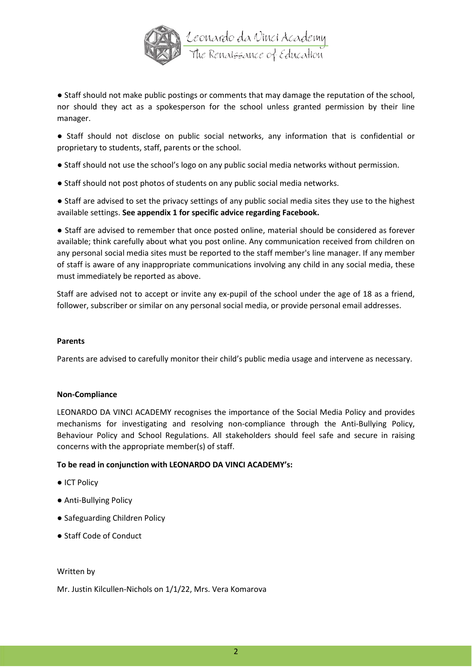

● Staff should not make public postings or comments that may damage the reputation of the school, nor should they act as a spokesperson for the school unless granted permission by their line manager.

● Staff should not disclose on public social networks, any information that is confidential or proprietary to students, staff, parents or the school.

- Staff should not use the school's logo on any public social media networks without permission.
- Staff should not post photos of students on any public social media networks.

● Staff are advised to set the privacy settings of any public social media sites they use to the highest available settings. **See appendix 1 for specific advice regarding Facebook.** 

● Staff are advised to remember that once posted online, material should be considered as forever available; think carefully about what you post online. Any communication received from children on any personal social media sites must be reported to the staff member's line manager. If any member of staff is aware of any inappropriate communications involving any child in any social media, these must immediately be reported as above.

Staff are advised not to accept or invite any ex-pupil of the school under the age of 18 as a friend, follower, subscriber or similar on any personal social media, or provide personal email addresses.

## **Parents**

Parents are advised to carefully monitor their child's public media usage and intervene as necessary.

## **Non-Compliance**

LEONARDO DA VINCI ACADEMY recognises the importance of the Social Media Policy and provides mechanisms for investigating and resolving non-compliance through the Anti-Bullying Policy, Behaviour Policy and School Regulations. All stakeholders should feel safe and secure in raising concerns with the appropriate member(s) of staff.

## **To be read in conjunction with LEONARDO DA VINCI ACADEMY's:**

- ICT Policy
- Anti-Bullying Policy
- Safeguarding Children Policy
- Staff Code of Conduct

Written by

Mr. Justin Kilcullen-Nichols on 1/1/22, Mrs. Vera Komarova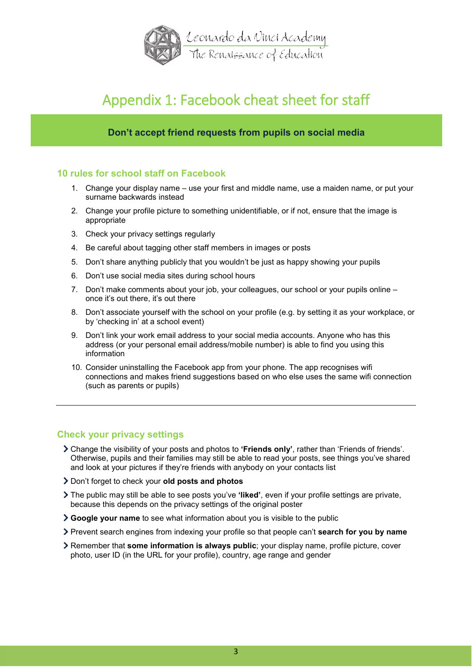

# Appendix 1: Facebook cheat sheet for staff

# **Don't accept friend requests from pupils on social media**

# **10 rules for school staff on Facebook**

- 1. Change your display name use your first and middle name, use a maiden name, or put your surname backwards instead
- 2. Change your profile picture to something unidentifiable, or if not, ensure that the image is appropriate
- 3. Check your privacy settings regularly
- 4. Be careful about tagging other staff members in images or posts
- 5. Don't share anything publicly that you wouldn't be just as happy showing your pupils
- 6. Don't use social media sites during school hours
- 7. Don't make comments about your job, your colleagues, our school or your pupils online once it's out there, it's out there
- 8. Don't associate yourself with the school on your profile (e.g. by setting it as your workplace, or by 'checking in' at a school event)
- 9. Don't link your work email address to your social media accounts. Anyone who has this address (or your personal email address/mobile number) is able to find you using this information
- 10. Consider uninstalling the Facebook app from your phone. The app recognises wifi connections and makes friend suggestions based on who else uses the same wifi connection (such as parents or pupils)

# **Check your privacy settings**

- Change the visibility of your posts and photos to **'Friends only'**, rather than 'Friends of friends'. Otherwise, pupils and their families may still be able to read your posts, see things you've shared and look at your pictures if they're friends with anybody on your contacts list
- Don't forget to check your **old posts and photos**
- The public may still be able to see posts you've **'liked'**, even if your profile settings are private, because this depends on the privacy settings of the original poster
- **Google your name** to see what information about you is visible to the public
- Prevent search engines from indexing your profile so that people can't **search for you by name**
- Remember that **some information is always public**; your display name, profile picture, cover photo, user ID (in the URL for your profile), country, age range and gender